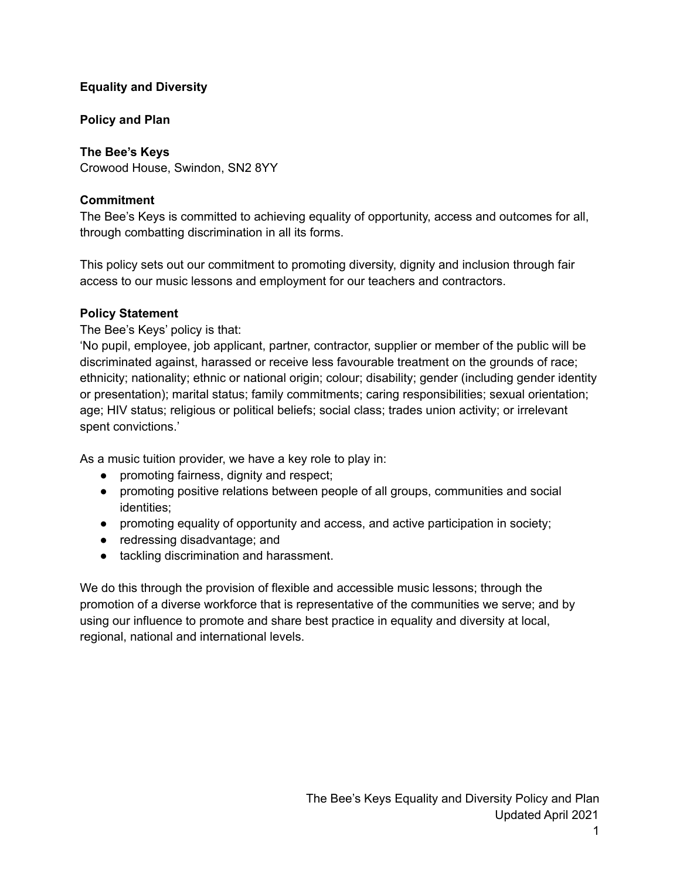## **Equality and Diversity**

# **Policy and Plan**

# **The Bee's Keys**

Crowood House, Swindon, SN2 8YY

# **Commitment**

The Bee's Keys is committed to achieving equality of opportunity, access and outcomes for all, through combatting discrimination in all its forms.

This policy sets out our commitment to promoting diversity, dignity and inclusion through fair access to our music lessons and employment for our teachers and contractors.

# **Policy Statement**

The Bee's Keys' policy is that:

'No pupil, employee, job applicant, partner, contractor, supplier or member of the public will be discriminated against, harassed or receive less favourable treatment on the grounds of race; ethnicity; nationality; ethnic or national origin; colour; disability; gender (including gender identity or presentation); marital status; family commitments; caring responsibilities; sexual orientation; age; HIV status; religious or political beliefs; social class; trades union activity; or irrelevant spent convictions.'

As a music tuition provider, we have a key role to play in:

- promoting fairness, dignity and respect;
- promoting positive relations between people of all groups, communities and social identities;
- promoting equality of opportunity and access, and active participation in society;
- redressing disadvantage; and
- tackling discrimination and harassment.

We do this through the provision of flexible and accessible music lessons; through the promotion of a diverse workforce that is representative of the communities we serve; and by using our influence to promote and share best practice in equality and diversity at local, regional, national and international levels.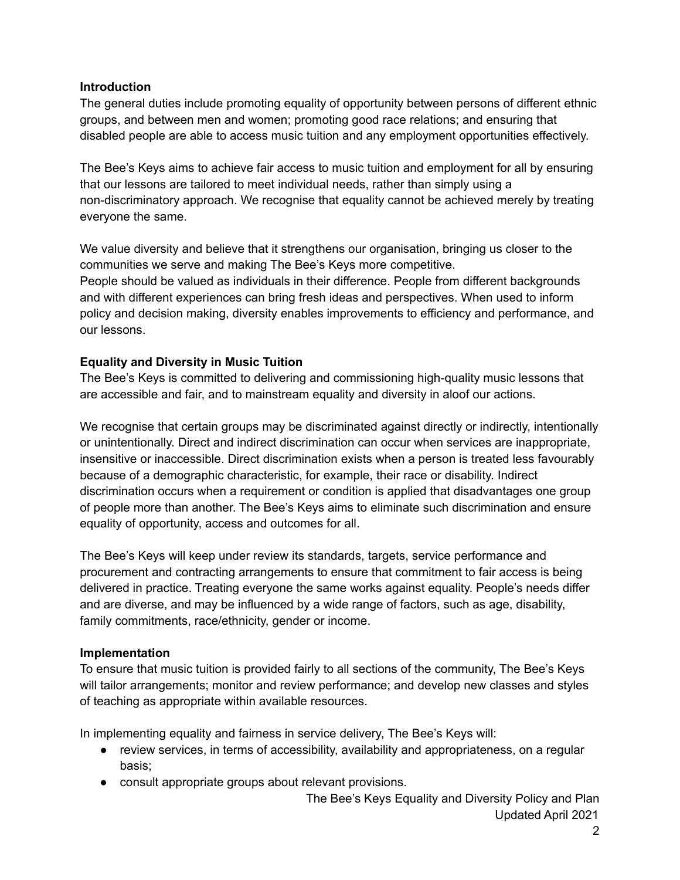### **Introduction**

The general duties include promoting equality of opportunity between persons of different ethnic groups, and between men and women; promoting good race relations; and ensuring that disabled people are able to access music tuition and any employment opportunities effectively.

The Bee's Keys aims to achieve fair access to music tuition and employment for all by ensuring that our lessons are tailored to meet individual needs, rather than simply using a non-discriminatory approach. We recognise that equality cannot be achieved merely by treating everyone the same.

We value diversity and believe that it strengthens our organisation, bringing us closer to the communities we serve and making The Bee's Keys more competitive. People should be valued as individuals in their difference. People from different backgrounds and with different experiences can bring fresh ideas and perspectives. When used to inform policy and decision making, diversity enables improvements to efficiency and performance, and our lessons.

## **Equality and Diversity in Music Tuition**

The Bee's Keys is committed to delivering and commissioning high-quality music lessons that are accessible and fair, and to mainstream equality and diversity in aloof our actions.

We recognise that certain groups may be discriminated against directly or indirectly, intentionally or unintentionally. Direct and indirect discrimination can occur when services are inappropriate, insensitive or inaccessible. Direct discrimination exists when a person is treated less favourably because of a demographic characteristic, for example, their race or disability. Indirect discrimination occurs when a requirement or condition is applied that disadvantages one group of people more than another. The Bee's Keys aims to eliminate such discrimination and ensure equality of opportunity, access and outcomes for all.

The Bee's Keys will keep under review its standards, targets, service performance and procurement and contracting arrangements to ensure that commitment to fair access is being delivered in practice. Treating everyone the same works against equality. People's needs differ and are diverse, and may be influenced by a wide range of factors, such as age, disability, family commitments, race/ethnicity, gender or income.

## **Implementation**

To ensure that music tuition is provided fairly to all sections of the community, The Bee's Keys will tailor arrangements; monitor and review performance; and develop new classes and styles of teaching as appropriate within available resources.

In implementing equality and fairness in service delivery, The Bee's Keys will:

- review services, in terms of accessibility, availability and appropriateness, on a regular basis;
- consult appropriate groups about relevant provisions.

The Bee's Keys Equality and Diversity Policy and Plan Updated April 2021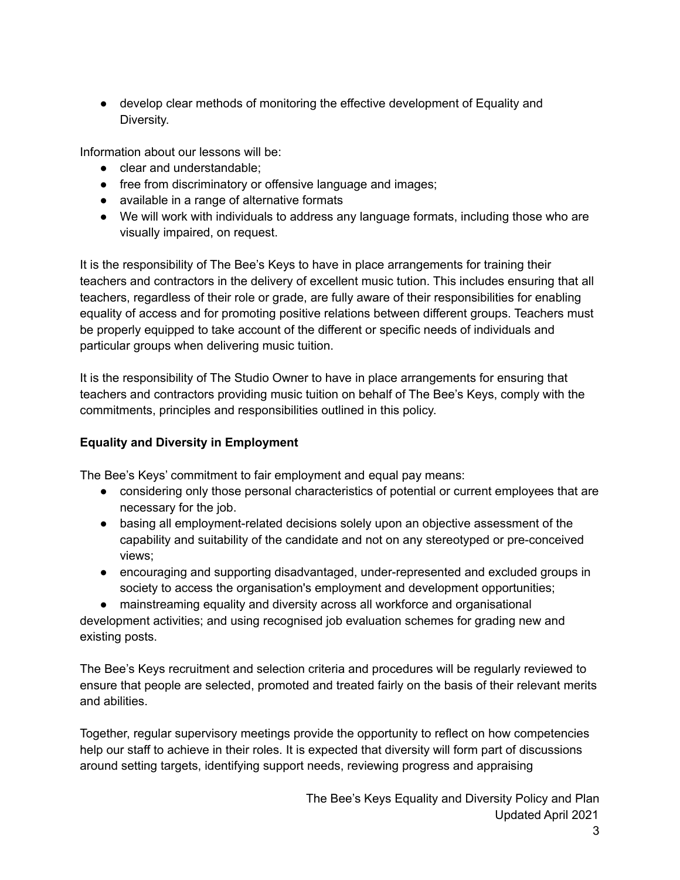● develop clear methods of monitoring the effective development of Equality and Diversity.

Information about our lessons will be:

- clear and understandable;
- free from discriminatory or offensive language and images;
- available in a range of alternative formats
- We will work with individuals to address any language formats, including those who are visually impaired, on request.

It is the responsibility of The Bee's Keys to have in place arrangements for training their teachers and contractors in the delivery of excellent music tution. This includes ensuring that all teachers, regardless of their role or grade, are fully aware of their responsibilities for enabling equality of access and for promoting positive relations between different groups. Teachers must be properly equipped to take account of the different or specific needs of individuals and particular groups when delivering music tuition.

It is the responsibility of The Studio Owner to have in place arrangements for ensuring that teachers and contractors providing music tuition on behalf of The Bee's Keys, comply with the commitments, principles and responsibilities outlined in this policy.

# **Equality and Diversity in Employment**

The Bee's Keys' commitment to fair employment and equal pay means:

- considering only those personal characteristics of potential or current employees that are necessary for the job.
- basing all employment-related decisions solely upon an objective assessment of the capability and suitability of the candidate and not on any stereotyped or pre-conceived views;
- encouraging and supporting disadvantaged, under-represented and excluded groups in society to access the organisation's employment and development opportunities;
- mainstreaming equality and diversity across all workforce and organisational

development activities; and using recognised job evaluation schemes for grading new and existing posts.

The Bee's Keys recruitment and selection criteria and procedures will be regularly reviewed to ensure that people are selected, promoted and treated fairly on the basis of their relevant merits and abilities.

Together, regular supervisory meetings provide the opportunity to reflect on how competencies help our staff to achieve in their roles. It is expected that diversity will form part of discussions around setting targets, identifying support needs, reviewing progress and appraising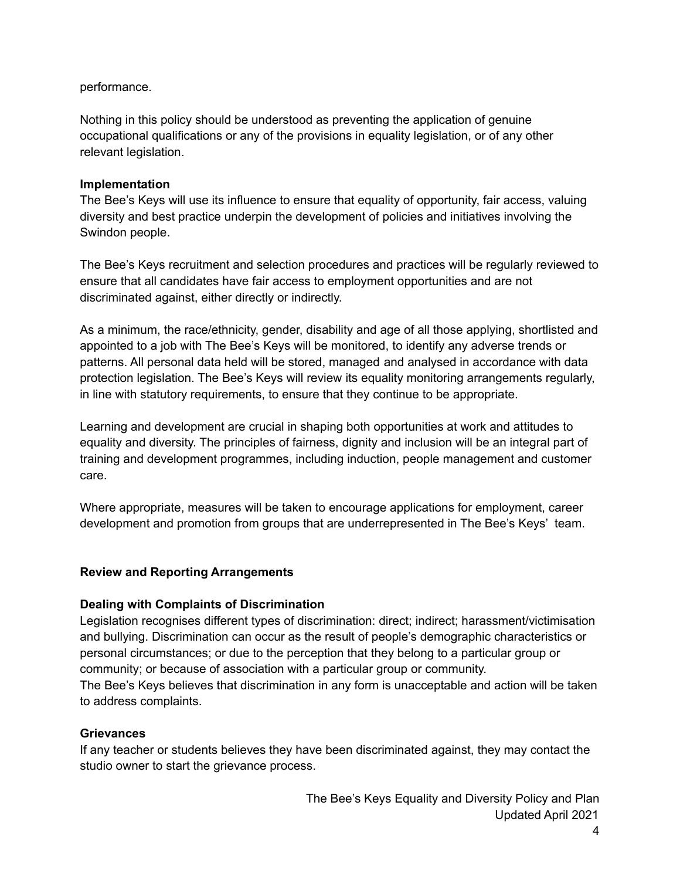### performance.

Nothing in this policy should be understood as preventing the application of genuine occupational qualifications or any of the provisions in equality legislation, or of any other relevant legislation.

### **Implementation**

The Bee's Keys will use its influence to ensure that equality of opportunity, fair access, valuing diversity and best practice underpin the development of policies and initiatives involving the Swindon people.

The Bee's Keys recruitment and selection procedures and practices will be regularly reviewed to ensure that all candidates have fair access to employment opportunities and are not discriminated against, either directly or indirectly.

As a minimum, the race/ethnicity, gender, disability and age of all those applying, shortlisted and appointed to a job with The Bee's Keys will be monitored, to identify any adverse trends or patterns. All personal data held will be stored, managed and analysed in accordance with data protection legislation. The Bee's Keys will review its equality monitoring arrangements regularly, in line with statutory requirements, to ensure that they continue to be appropriate.

Learning and development are crucial in shaping both opportunities at work and attitudes to equality and diversity. The principles of fairness, dignity and inclusion will be an integral part of training and development programmes, including induction, people management and customer care.

Where appropriate, measures will be taken to encourage applications for employment, career development and promotion from groups that are underrepresented in The Bee's Keys' team.

## **Review and Reporting Arrangements**

## **Dealing with Complaints of Discrimination**

Legislation recognises different types of discrimination: direct; indirect; harassment/victimisation and bullying. Discrimination can occur as the result of people's demographic characteristics or personal circumstances; or due to the perception that they belong to a particular group or community; or because of association with a particular group or community.

The Bee's Keys believes that discrimination in any form is unacceptable and action will be taken to address complaints.

#### **Grievances**

If any teacher or students believes they have been discriminated against, they may contact the studio owner to start the grievance process.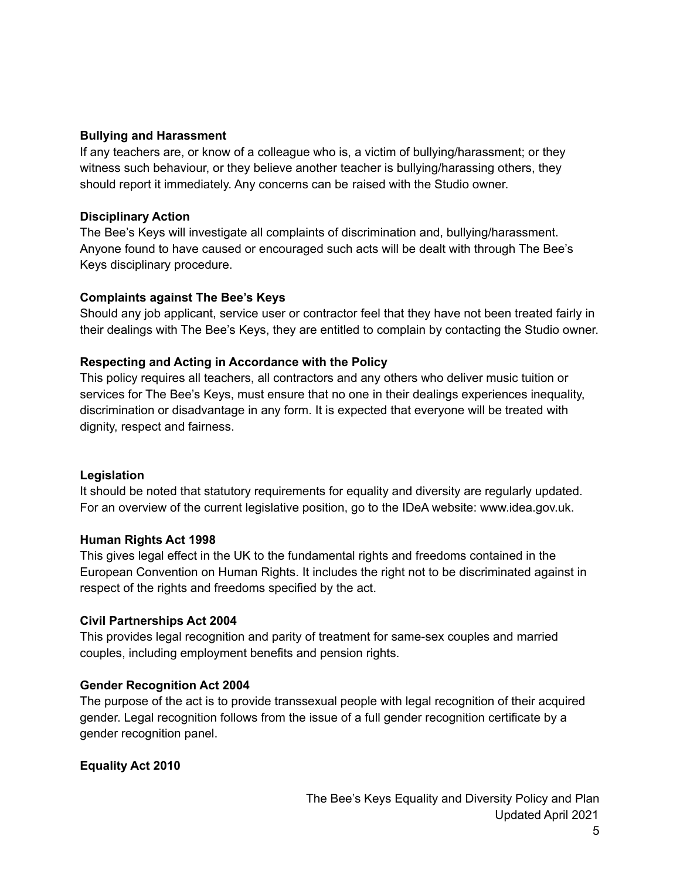### **Bullying and Harassment**

If any teachers are, or know of a colleague who is, a victim of bullying/harassment; or they witness such behaviour, or they believe another teacher is bullying/harassing others, they should report it immediately. Any concerns can be raised with the Studio owner.

### **Disciplinary Action**

The Bee's Keys will investigate all complaints of discrimination and, bullying/harassment. Anyone found to have caused or encouraged such acts will be dealt with through The Bee's Keys disciplinary procedure.

## **Complaints against The Bee's Keys**

Should any job applicant, service user or contractor feel that they have not been treated fairly in their dealings with The Bee's Keys, they are entitled to complain by contacting the Studio owner.

## **Respecting and Acting in Accordance with the Policy**

This policy requires all teachers, all contractors and any others who deliver music tuition or services for The Bee's Keys, must ensure that no one in their dealings experiences inequality, discrimination or disadvantage in any form. It is expected that everyone will be treated with dignity, respect and fairness.

## **Legislation**

It should be noted that statutory requirements for equality and diversity are regularly updated. For an overview of the current legislative position, go to the IDeA website: www.idea.gov.uk.

#### **Human Rights Act 1998**

This gives legal effect in the UK to the fundamental rights and freedoms contained in the European Convention on Human Rights. It includes the right not to be discriminated against in respect of the rights and freedoms specified by the act.

## **Civil Partnerships Act 2004**

This provides legal recognition and parity of treatment for same-sex couples and married couples, including employment benefits and pension rights.

## **Gender Recognition Act 2004**

The purpose of the act is to provide transsexual people with legal recognition of their acquired gender. Legal recognition follows from the issue of a full gender recognition certificate by a gender recognition panel.

## **Equality Act 2010**